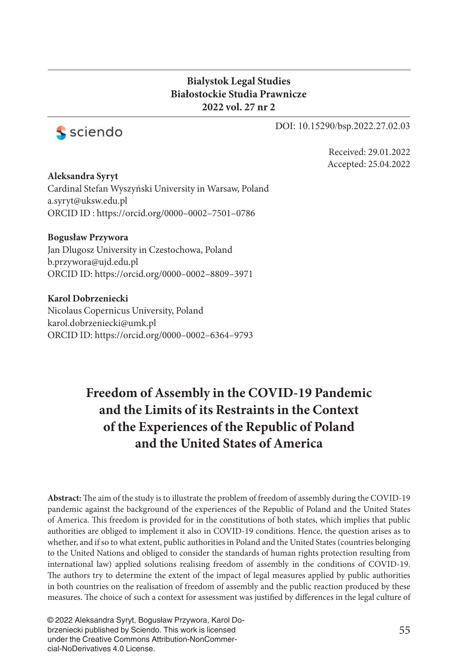#### **Bialystok Legal Studies Białostockie Studia Prawnicze 2022 vol. 27 nr 2**



DOI: 10.15290/bsp.2022.27.02.03

Received: 29.01.2022 Accepted: 25.04.2022

**Aleksandra Syryt**  Cardinal Stefan Wyszyński University in Warsaw, Poland a.syryt@uksw.edu.pl ORCID ID : https://orcid.org/0000–0002–7501–0786

**Bogusław Przywora** Jan Dlugosz University in Czestochowa, Poland b.przywora@ujd.edu.pl ORCID ID: https://orcid.org/0000–0002–8809–3971

**Karol Dobrzeniecki** Nicolaus Copernicus University, Poland karol.dobrzeniecki@umk.pl ORCID ID: https://orcid.org/0000–0002–6364–9793

# **Freedom of Assembly in the COVID-19 Pandemic and the Limits of its Restraints in the Context of the Experiences of the Republic of Poland and the United States of America**

Abstract: The aim of the study is to illustrate the problem of freedom of assembly during the COVID-19 pandemic against the background of the experiences of the Republic of Poland and the United States of America. This freedom is provided for in the constitutions of both states, which implies that public authorities are obliged to implement it also in COVID-19 conditions. Hence, the question arises as to whether, and if so to what extent, public authorities in Poland and the United States (countries belonging to the United Nations and obliged to consider the standards of human rights protection resulting from international law) applied solutions realising freedom of assembly in the conditions of COVID-19. The authors try to determine the extent of the impact of legal measures applied by public authorities in both countries on the realisation of freedom of assembly and the public reaction produced by these measures. The choice of such a context for assessment was justified by differences in the legal culture of

© 2022 Aleksandra Syryt, Bogusław Przywora, Karol Dobrzeniecki published by Sciendo. This work is licensed under the Creative Commons Attribution-NonCommercial-NoDerivatives 4.0 License.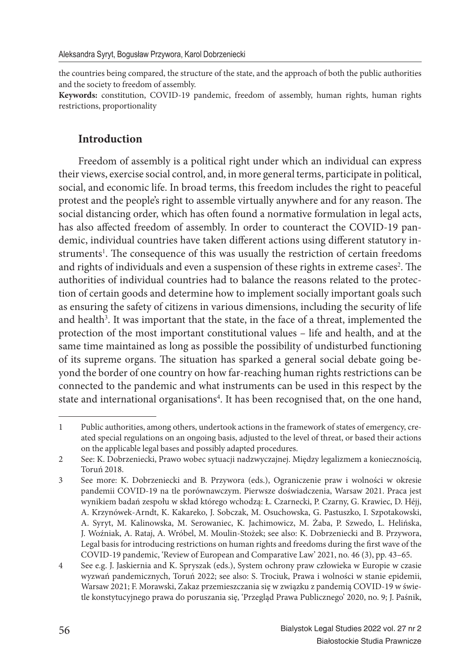the countries being compared, the structure of the state, and the approach of both the public authorities and the society to freedom of assembly.

**Keywords:** constitution, COVID-19 pandemic, freedom of assembly, human rights, human rights restrictions, proportionality

### **Introduction**

Freedom of assembly is a political right under which an individual can express their views, exercise social control, and, in more general terms, participate in political, social, and economic life. In broad terms, this freedom includes the right to peaceful protest and the people's right to assemble virtually anywhere and for any reason. The social distancing order, which has often found a normative formulation in legal acts, has also affected freedom of assembly. In order to counteract the COVID-19 pandemic, individual countries have taken different actions using different statutory instruments<sup>1</sup>. The consequence of this was usually the restriction of certain freedoms and rights of individuals and even a suspension of these rights in extreme cases<sup>2</sup>. The authorities of individual countries had to balance the reasons related to the protection of certain goods and determine how to implement socially important goals such as ensuring the safety of citizens in various dimensions, including the security of life and health<sup>3</sup>. It was important that the state, in the face of a threat, implemented the protection of the most important constitutional values – life and health, and at the same time maintained as long as possible the possibility of undisturbed functioning of its supreme organs. The situation has sparked a general social debate going beyond the border of one country on how far-reaching human rights restrictions can be connected to the pandemic and what instruments can be used in this respect by the state and international organisations<sup>4</sup>. It has been recognised that, on the one hand,

<sup>1</sup> Public authorities, among others, undertook actions in the framework of states of emergency, created special regulations on an ongoing basis, adjusted to the level of threat, or based their actions on the applicable legal bases and possibly adapted procedures.

<sup>2</sup> See: K. Dobrzeniecki, Prawo wobec sytuacji nadzwyczajnej. Między legalizmem a koniecznością, Toruń 2018.

<sup>3</sup> See more: K. Dobrzeniecki and B. Przywora (eds.), Ograniczenie praw i wolności w okresie pandemii COVID-19 na tle porównawczym. Pierwsze doświadczenia, Warsaw 2021. Praca jest wynikiem badań zespołu w skład którego wchodzą: Ł. Czarnecki, P. Czarny, G. Krawiec, D. Héjj, A. Krzynówek-Arndt, K. Kakareko, J. Sobczak, M. Osuchowska, G. Pastuszko, I. Szpotakowski, A. Syryt, M. Kalinowska, M. Serowaniec, K. Jachimowicz, M. Żaba, P. Szwedo, L. Helińska, J. Woźniak, A. Rataj, A. Wróbel, M. Moulin-Stożek; see also: K. Dobrzeniecki and B. Przywora, Legal basis for introducing restrictions on human rights and freedoms during the first wave of the COVID-19 pandemic, 'Review of European and Comparative Law' 2021, no. 46 (3), pp. 43–65.

<sup>4</sup> See e.g. J. Jaskiernia and K. Spryszak (eds.), System ochrony praw człowieka w Europie w czasie wyzwań pandemicznych, Toruń 2022; see also: S. Trociuk, Prawa i wolności w stanie epidemii, Warsaw 2021; F. Morawski, Zakaz przemieszczania się w związku z pandemią COVID-19 w świetle konstytucyjnego prawa do poruszania się, 'Przegląd Prawa Publicznego' 2020, no. 9; J. Paśnik,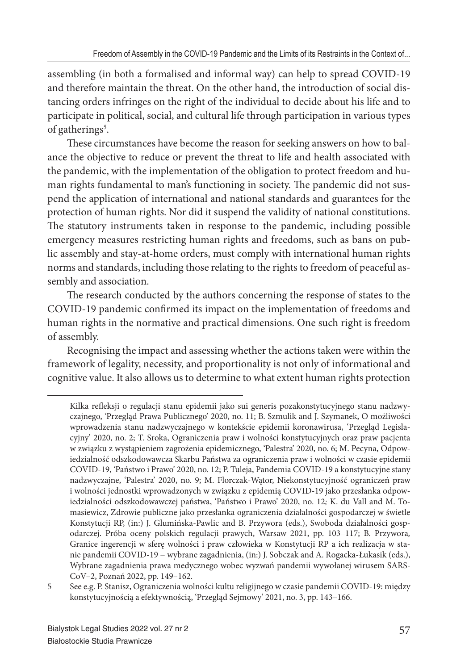assembling (in both a formalised and informal way) can help to spread COVID-19 and therefore maintain the threat. On the other hand, the introduction of social distancing orders infringes on the right of the individual to decide about his life and to participate in political, social, and cultural life through participation in various types of gatherings<sup>5</sup>.

These circumstances have become the reason for seeking answers on how to balance the objective to reduce or prevent the threat to life and health associated with the pandemic, with the implementation of the obligation to protect freedom and human rights fundamental to man's functioning in society. The pandemic did not suspend the application of international and national standards and guarantees for the protection of human rights. Nor did it suspend the validity of national constitutions. The statutory instruments taken in response to the pandemic, including possible emergency measures restricting human rights and freedoms, such as bans on public assembly and stay-at-home orders, must comply with international human rights norms and standards, including those relating to the rights to freedom of peaceful assembly and association.

The research conducted by the authors concerning the response of states to the COVID-19 pandemic confirmed its impact on the implementation of freedoms and human rights in the normative and practical dimensions. One such right is freedom of assembly.

Recognising the impact and assessing whether the actions taken were within the framework of legality, necessity, and proportionality is not only of informational and cognitive value. It also allows us to determine to what extent human rights protection

Kilka refleksji o regulacji stanu epidemii jako sui generis pozakonstytucyjnego stanu nadzwyczajnego, 'Przegląd Prawa Publicznego' 2020, no. 11; B. Szmulik and J. Szymanek, O możliwości wprowadzenia stanu nadzwyczajnego w kontekście epidemii koronawirusa, 'Przegląd Legislacyjny' 2020, no. 2; T. Sroka, Ograniczenia praw i wolności konstytucyjnych oraz praw pacjenta w związku z wystąpieniem zagrożenia epidemicznego, 'Palestra' 2020, no. 6; M. Pecyna, Odpowiedzialność odszkodowawcza Skarbu Państwa za ograniczenia praw i wolności w czasie epidemii COVID-19, 'Państwo i Prawo' 2020, no. 12; P. Tuleja, Pandemia COVID-19 a konstytucyjne stany nadzwyczajne, 'Palestra' 2020, no. 9; M. Florczak-Wątor, Niekonstytucyjność ograniczeń praw i wolności jednostki wprowadzonych w związku z epidemią COVID-19 jako przesłanka odpowiedzialności odszkodowawczej państwa, 'Państwo i Prawo' 2020, no. 12*;* K. du Vall and M. Tomasiewicz, Zdrowie publiczne jako przesłanka ograniczenia działalności gospodarczej w świetle Konstytucji RP, (in:) J. Glumińska-Pawlic and B. Przywora (eds.), Swoboda działalności gospodarczej. Próba oceny polskich regulacji prawych, Warsaw 2021, pp. 103–117; B. Przywora*,*  Granice ingerencji w sferę wolności i praw człowieka w Konstytucji RP a ich realizacja w stanie pandemii COVID-19 − wybrane zagadnienia, (in:) J. Sobczak and A. Rogacka-Łukasik (eds.), Wybrane zagadnienia prawa medycznego wobec wyzwań pandemii wywołanej wirusem SARS-CoV–2, Poznań 2022, pp. 149–162.

<sup>5</sup> See e.g. P. Stanisz, Ograniczenia wolności kultu religijnego w czasie pandemii COVID-19: między konstytucyjnością a efektywnością, 'Przegląd Sejmowy' 2021, no. 3, pp. 143–166.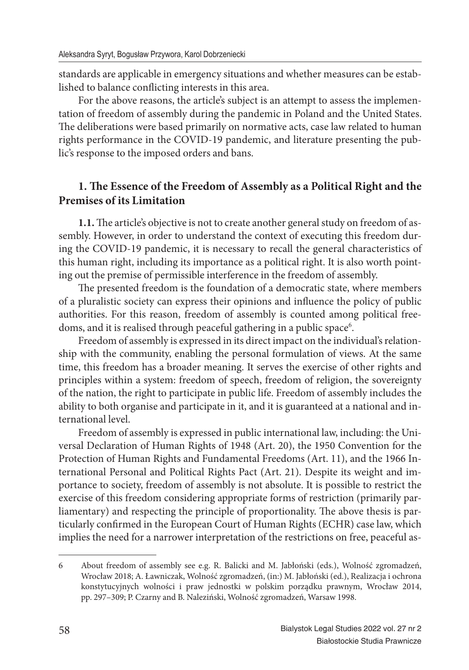standards are applicable in emergency situations and whether measures can be established to balance conflicting interests in this area.

For the above reasons, the article's subject is an attempt to assess the implementation of freedom of assembly during the pandemic in Poland and the United States. The deliberations were based primarily on normative acts, case law related to human rights performance in the COVID-19 pandemic, and literature presenting the public's response to the imposed orders and bans.

### **1. The Essence of the Freedom of Assembly as a Political Right and the Premises of its Limitation**

**1.1.** The article's objective is not to create another general study on freedom of assembly. However, in order to understand the context of executing this freedom during the COVID-19 pandemic, it is necessary to recall the general characteristics of this human right, including its importance as a political right. It is also worth pointing out the premise of permissible interference in the freedom of assembly.

The presented freedom is the foundation of a democratic state, where members of a pluralistic society can express their opinions and influence the policy of public authorities. For this reason, freedom of assembly is counted among political freedoms, and it is realised through peaceful gathering in a public space<sup>6</sup>.

Freedom of assembly is expressed in its direct impact on the individual's relationship with the community, enabling the personal formulation of views. At the same time, this freedom has a broader meaning. It serves the exercise of other rights and principles within a system: freedom of speech, freedom of religion, the sovereignty of the nation, the right to participate in public life. Freedom of assembly includes the ability to both organise and participate in it, and it is guaranteed at a national and international level.

Freedom of assembly is expressed in public international law, including: the Universal Declaration of Human Rights of 1948 (Art. 20), the 1950 Convention for the Protection of Human Rights and Fundamental Freedoms (Art. 11), and the 1966 International Personal and Political Rights Pact (Art. 21). Despite its weight and importance to society, freedom of assembly is not absolute. It is possible to restrict the exercise of this freedom considering appropriate forms of restriction (primarily parliamentary) and respecting the principle of proportionality. The above thesis is particularly confirmed in the European Court of Human Rights (ECHR) case law, which implies the need for a narrower interpretation of the restrictions on free, peaceful as-

<sup>6</sup> About freedom of assembly see e.g. R. Balicki and M. Jabłoński (eds.), Wolność zgromadzeń, Wrocław 2018; A. Ławniczak, Wolność zgromadzeń, (in:) M. Jabłoński (ed.), Realizacja i ochrona konstytucyjnych wolności i praw jednostki w polskim porządku prawnym, Wrocław 2014, pp. 297–309; P. Czarny and B. Naleziński, Wolność zgromadzeń, Warsaw 1998.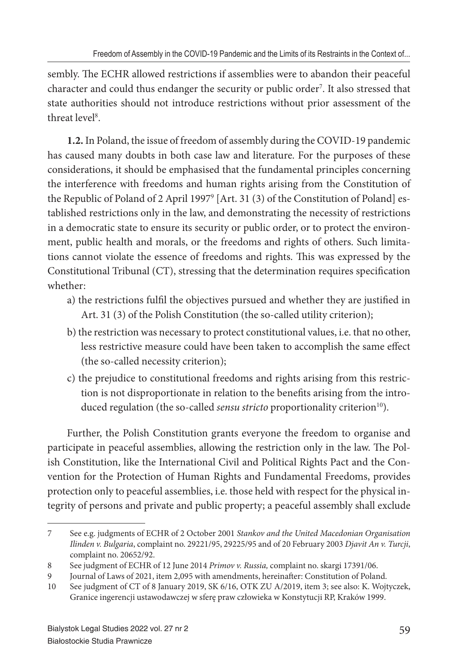sembly. The ECHR allowed restrictions if assemblies were to abandon their peaceful character and could thus endanger the security or public order<sup>7</sup>. It also stressed that state authorities should not introduce restrictions without prior assessment of the threat level<sup>8</sup>.

**1.2.** In Poland, the issue of freedom of assembly during the COVID-19 pandemic has caused many doubts in both case law and literature. For the purposes of these considerations, it should be emphasised that the fundamental principles concerning the interference with freedoms and human rights arising from the Constitution of the Republic of Poland of 2 April 1997<sup>9</sup> [Art. 31 (3) of the Constitution of Poland] established restrictions only in the law, and demonstrating the necessity of restrictions in a democratic state to ensure its security or public order, or to protect the environment, public health and morals, or the freedoms and rights of others. Such limitations cannot violate the essence of freedoms and rights. This was expressed by the Constitutional Tribunal (CT), stressing that the determination requires specification whether:

- a) the restrictions fulfil the objectives pursued and whether they are justified in Art. 31 (3) of the Polish Constitution (the so-called utility criterion);
- b) the restriction was necessary to protect constitutional values, i.e. that no other, less restrictive measure could have been taken to accomplish the same effect (the so-called necessity criterion);
- c) the prejudice to constitutional freedoms and rights arising from this restriction is not disproportionate in relation to the benefits arising from the introduced regulation (the so-called *sensu stricto* proportionality criterion<sup>10</sup>).

Further, the Polish Constitution grants everyone the freedom to organise and participate in peaceful assemblies, allowing the restriction only in the law. The Polish Constitution, like the International Civil and Political Rights Pact and the Convention for the Protection of Human Rights and Fundamental Freedoms, provides protection only to peaceful assemblies, i.e. those held with respect for the physical integrity of persons and private and public property; a peaceful assembly shall exclude

<sup>7</sup> See e.g. judgments of ECHR of 2 October 2001 *Stankov and the United Macedonian Organisation Ilinden v. Bulgaria*, complaint no. 29221/95, 29225/95 and of 20 February 2003 *Djavit An v. Turcji*, complaint no. 20652/92.

<sup>8</sup> See judgment of ECHR of 12 June 2014 *Primov v. Russia,* complaint no. skargi 17391/06.

<sup>9</sup> Journal of Laws of 2021, item 2,095 with amendments, hereinafter: Constitution of Poland.

<sup>10</sup> See judgment of CT of 8 January 2019, SK 6/16, OTK ZU A/2019, item 3; see also: K. Wojtyczek, Granice ingerencji ustawodawczej w sferę praw człowieka w Konstytucji RP, Kraków 1999.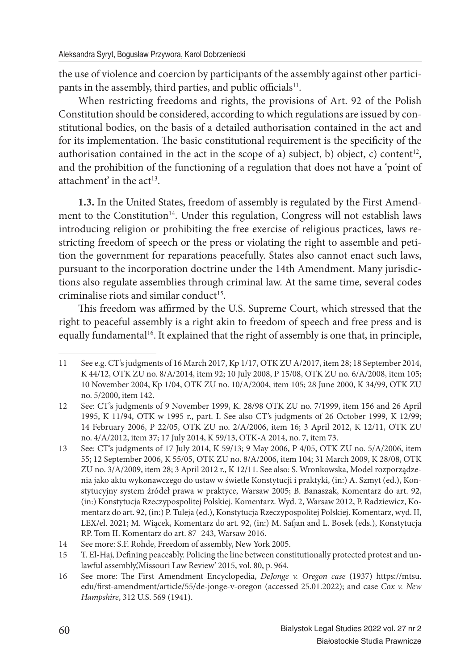the use of violence and coercion by participants of the assembly against other participants in the assembly, third parties, and public officials<sup>11</sup>.

When restricting freedoms and rights, the provisions of Art. 92 of the Polish Constitution should be considered, according to which regulations are issued by constitutional bodies, on the basis of a detailed authorisation contained in the act and for its implementation. The basic constitutional requirement is the specificity of the authorisation contained in the act in the scope of a) subject, b) object, c) content<sup>12</sup>, and the prohibition of the functioning of a regulation that does not have a 'point of attachment' in the  $act^{13}$ .

**1.3.** In the United States, freedom of assembly is regulated by the First Amendment to the Constitution<sup>14</sup>. Under this regulation, Congress will not establish laws introducing religion or prohibiting the free exercise of religious practices, laws restricting freedom of speech or the press or violating the right to assemble and petition the government for reparations peacefully. States also cannot enact such laws, pursuant to the incorporation doctrine under the 14th Amendment. Many jurisdictions also regulate assemblies through criminal law. At the same time, several codes criminalise riots and similar conduct<sup>15</sup>.

This freedom was affirmed by the U.S. Supreme Court, which stressed that the right to peaceful assembly is a right akin to freedom of speech and free press and is equally fundamental<sup>16</sup>. It explained that the right of assembly is one that, in principle,

<sup>11</sup> See e.g. CT's judgments of 16 March 2017, Kp 1/17, OTK ZU A/2017, item 28; 18 September 2014, K 44/12, OTK ZU no. 8/A/2014, item 92; 10 July 2008, P 15/08, OTK ZU no. 6/A/2008, item 105; 10 November 2004, Kp 1/04, OTK ZU no. 10/A/2004, item 105; 28 June 2000, K 34/99, OTK ZU no. 5/2000, item 142.

<sup>12</sup> See: CT's judgments of 9 November 1999, K. 28/98 OTK ZU no. 7/1999, item 156 and 26 April 1995, K 11/94, OTK w 1995 r., part. I. See also CT's judgments of 26 October 1999, K 12/99; 14 February 2006, P 22/05, OTK ZU no. 2/A/2006, item 16; 3 April 2012, K 12/11, OTK ZU no. 4/A/2012, item 37; 17 July 2014, K 59/13, OTK-A 2014, no. 7, item 73.

<sup>13</sup> See: CT's judgments of 17 July 2014, K 59/13; 9 May 2006, P 4/05, OTK ZU no. 5/A/2006, item 55; 12 September 2006, K 55/05, OTK ZU no. 8/A/2006, item 104; 31 March 2009, K 28/08, OTK ZU no. 3/A/2009, item 28; 3 April 2012 r., K 12/11. See also: S. Wronkowska, Model rozporządzenia jako aktu wykonawczego do ustaw w świetle Konstytucji i praktyki, (in:) A. Szmyt (ed.), Konstytucyjny system źródeł prawa w praktyce, Warsaw 2005; B. Banaszak, Komentarz do art. 92, (in:) Konstytucja Rzeczypospolitej Polskiej. Komentarz. Wyd. 2, Warsaw 2012, P. Radziewicz, Komentarz do art. 92, (in:) P. Tuleja (ed.), Konstytucja Rzeczypospolitej Polskiej. Komentarz, wyd. II, LEX/el. 2021; M. Wiącek, Komentarz do art. 92, (in:) M. Safjan and L. Bosek (eds.), Konstytucja RP. Tom II. Komentarz do art. 87–243, Warsaw 2016.

<sup>14</sup> See more: S.F. Rohde, Freedom of assembly, New York 2005.

<sup>15</sup> T. El-Haj, Defining peaceably. Policing the line between constitutionally protected protest and unlawful assembly,'Missouri Law Review' 2015, vol. 80, p. 964.

<sup>16</sup> See more: The First Amendment Encyclopedia, *DeJonge v. Oregon case* (1937) https://mtsu. edu/first-amendment/article/55/de-jonge-v-oregon (accessed 25.01.2022); and case *Cox v. New Hampshire*, 312 U.S. 569 (1941).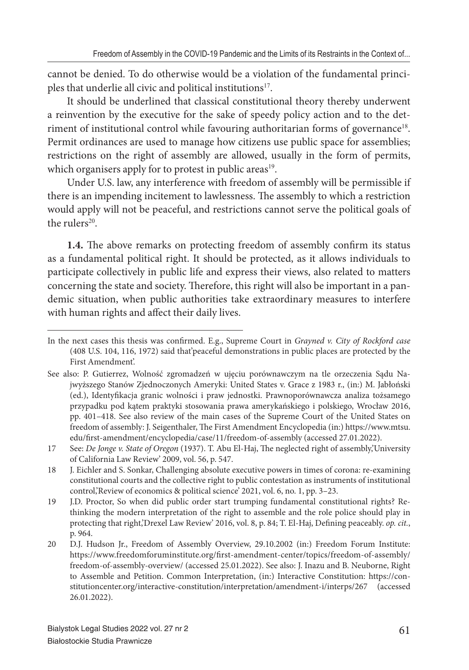cannot be denied. To do otherwise would be a violation of the fundamental principles that underlie all civic and political institutions<sup>17</sup>.

It should be underlined that classical constitutional theory thereby underwent a reinvention by the executive for the sake of speedy policy action and to the detriment of institutional control while favouring authoritarian forms of governance<sup>18</sup>. Permit ordinances are used to manage how citizens use public space for assemblies; restrictions on the right of assembly are allowed, usually in the form of permits, which organisers apply for to protest in public areas<sup>19</sup>.

Under U.S. law, any interference with freedom of assembly will be permissible if there is an impending incitement to lawlessness. The assembly to which a restriction would apply will not be peaceful, and restrictions cannot serve the political goals of the rulers<sup>20</sup>.

1.4. The above remarks on protecting freedom of assembly confirm its status as a fundamental political right. It should be protected, as it allows individuals to participate collectively in public life and express their views, also related to matters concerning the state and society. Therefore, this right will also be important in a pandemic situation, when public authorities take extraordinary measures to interfere with human rights and affect their daily lives.

In the next cases this thesis was confirmed. E.g., Supreme Court in *Grayned v. City of Rockford case* (408 U.S. 104, 116, 1972) said that'peaceful demonstrations in public places are protected by the First Amendment'.

See also: P. Gutierrez, Wolność zgromadzeń w ujęciu porównawczym na tle orzeczenia Sądu Najwyższego Stanów Zjednoczonych Ameryki: United States v. Grace z 1983 r., (in:) M. Jabłoński (ed.), Identyfikacja granic wolności i praw jednostki. Prawnoporównawcza analiza tożsamego przypadku pod kątem praktyki stosowania prawa amerykańskiego i polskiego, Wrocław 2016, pp. 401–418. See also review of the main cases of the Supreme Court of the United States on freedom of assembly: J. Seigenthaler, The First Amendment Encyclopedia (in:) https://www.mtsu. edu/first-amendment/encyclopedia/case/11/freedom-of-assembly (accessed 27.01.2022).

<sup>17</sup> See: *De Jonge v. State of Oregon* (1937). T. Abu El-Haj, The neglected right of assembly,'University of California Law Review' 2009, vol. 56, p. 547.

<sup>18</sup> J. Eichler and S. Sonkar, Challenging absolute executive powers in times of corona: re-examining constitutional courts and the collective right to public contestation as instruments of institutional control,'Review of economics & political science' 2021, vol. 6, no. 1, pp. 3–23.

<sup>19</sup> J.D. Proctor, So when did public order start trumping fundamental constitutional rights? Rethinking the modern interpretation of the right to assemble and the role police should play in protecting that right,'Drexel Law Review' 2016, vol. 8, p. 84; T. El-Haj, Defining peaceably. op. cit., p. 964.

<sup>20</sup> D.J. Hudson Jr., Freedom of Assembly Overview, 29.10.2002 (in:) Freedom Forum Institute: https://www.freedomforuminstitute.org/first-amendment-center/topics/freedom-of-assembly/ freedom-of-assembly-overview/ (accessed 25.01.2022). See also: J. Inazu and B. Neuborne, Right to Assemble and Petition. Common Interpretation, (in:) Interactive Constitution: https://constitutioncenter.org/interactive-constitution/interpretation/amendment-i/interps/267 (accessed 26.01.2022).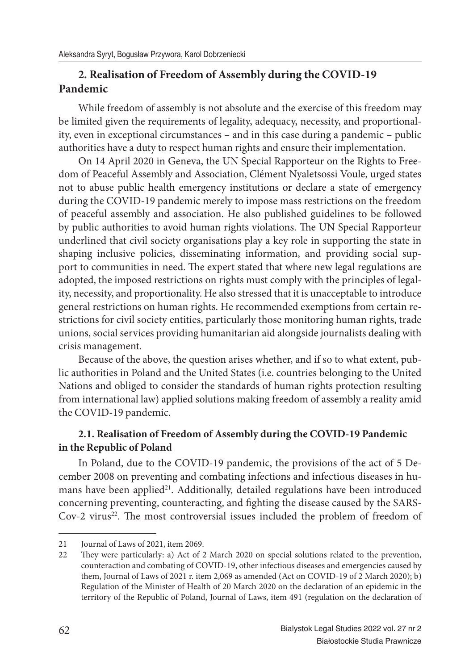## **2. Realisation of Freedom of Assembly during the COVID-19 Pandemic**

While freedom of assembly is not absolute and the exercise of this freedom may be limited given the requirements of legality, adequacy, necessity, and proportionality, even in exceptional circumstances – and in this case during a pandemic – public authorities have a duty to respect human rights and ensure their implementation.

On 14 April 2020 in Geneva, the UN Special Rapporteur on the Rights to Freedom of Peaceful Assembly and Association, Clément Nyaletsossi Voule, urged states not to abuse public health emergency institutions or declare a state of emergency during the COVID-19 pandemic merely to impose mass restrictions on the freedom of peaceful assembly and association. He also published guidelines to be followed by public authorities to avoid human rights violations. The UN Special Rapporteur underlined that civil society organisations play a key role in supporting the state in shaping inclusive policies, disseminating information, and providing social support to communities in need. The expert stated that where new legal regulations are adopted, the imposed restrictions on rights must comply with the principles of legality, necessity, and proportionality. He also stressed that it is unacceptable to introduce general restrictions on human rights. He recommended exemptions from certain restrictions for civil society entities, particularly those monitoring human rights, trade unions, social services providing humanitarian aid alongside journalists dealing with crisis management.

Because of the above, the question arises whether, and if so to what extent, public authorities in Poland and the United States (i.e. countries belonging to the United Nations and obliged to consider the standards of human rights protection resulting from international law) applied solutions making freedom of assembly a reality amid the COVID-19 pandemic.

### **2.1. Realisation of Freedom of Assembly during the COVID-19 Pandemic in the Republic of Poland**

In Poland, due to the COVID-19 pandemic, the provisions of the act of 5 December 2008 on preventing and combating infections and infectious diseases in humans have been applied<sup>21</sup>. Additionally, detailed regulations have been introduced concerning preventing, counteracting, and fighting the disease caused by the SARS-Cov-2 virus<sup>22</sup>. The most controversial issues included the problem of freedom of

<sup>21</sup> Journal of Laws of 2021, item 2069.

<sup>22</sup> They were particularly: a) Act of 2 March 2020 on special solutions related to the prevention, counteraction and combating of COVID-19, other infectious diseases and emergencies caused by them, Journal of Laws of 2021 r. item 2,069 as amended (Act on COVID-19 of 2 March 2020); b) Regulation of the Minister of Health of 20 March 2020 on the declaration of an epidemic in the territory of the Republic of Poland, Journal of Laws, item 491 (regulation on the declaration of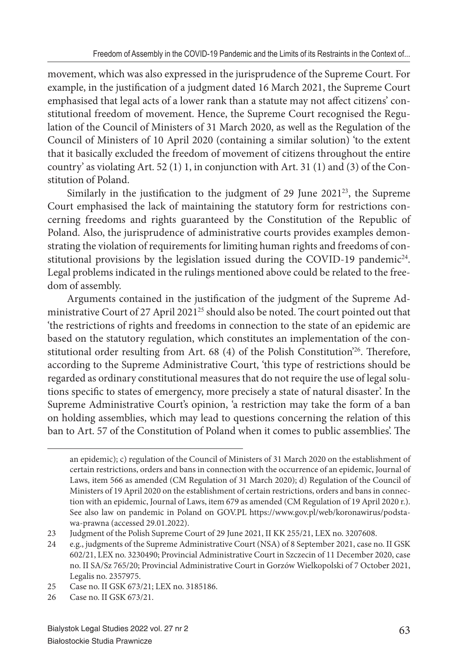movement, which was also expressed in the jurisprudence of the Supreme Court. For example, in the justification of a judgment dated 16 March 2021, the Supreme Court emphasised that legal acts of a lower rank than a statute may not affect citizens' constitutional freedom of movement. Hence, the Supreme Court recognised the Regulation of the Council of Ministers of 31 March 2020, as well as the Regulation of the Council of Ministers of 10 April 2020 (containing a similar solution) 'to the extent that it basically excluded the freedom of movement of citizens throughout the entire country' as violating Art. 52 (1) 1, in conjunction with Art. 31 (1) and (3) of the Constitution of Poland.

Similarly in the justification to the judgment of 29 June  $2021^{23}$ , the Supreme Court emphasised the lack of maintaining the statutory form for restrictions concerning freedoms and rights guaranteed by the Constitution of the Republic of Poland. Also, the jurisprudence of administrative courts provides examples demonstrating the violation of requirements for limiting human rights and freedoms of constitutional provisions by the legislation issued during the COVID-19 pandemic<sup>24</sup>. Legal problems indicated in the rulings mentioned above could be related to the freedom of assembly.

Arguments contained in the justification of the judgment of the Supreme Administrative Court of 27 April 2021<sup>25</sup> should also be noted. The court pointed out that 'the restrictions of rights and freedoms in connection to the state of an epidemic are based on the statutory regulation, which constitutes an implementation of the constitutional order resulting from Art.  $68$  (4) of the Polish Constitution<sup>26</sup>. Therefore, according to the Supreme Administrative Court, 'this type of restrictions should be regarded as ordinary constitutional measures that do not require the use of legal solutions specific to states of emergency, more precisely a state of natural disaster'. In the Supreme Administrative Court's opinion, 'a restriction may take the form of a ban on holding assemblies, which may lead to questions concerning the relation of this ban to Art. 57 of the Constitution of Poland when it comes to public assemblies'. The

an epidemic); c) regulation of the Council of Ministers of 31 March 2020 on the establishment of certain restrictions, orders and bans in connection with the occurrence of an epidemic, Journal of Laws, item 566 as amended (CM Regulation of 31 March 2020); d) Regulation of the Council of Ministers of 19 April 2020 on the establishment of certain restrictions, orders and bans in connection with an epidemic, Journal of Laws, item 679 as amended (CM Regulation of 19 April 2020 r.). See also law on pandemic in Poland on GOV.PL https://www.gov.pl/web/koronawirus/podstawa-prawna (accessed 29.01.2022).

<sup>23</sup> Judgment of the Polish Supreme Court of 29 June 2021, II KK 255/21, LEX no. 3207608.

<sup>24</sup> e.g., judgments of the Supreme Administrative Court (NSA) of 8 September 2021, case no. II GSK 602/21, LEX no. 3230490; Provincial Administrative Court in Szczecin of 11 December 2020, case no. II SA/Sz 765/20; Provincial Administrative Court in Gorzów Wielkopolski of 7 October 2021, Legalis no. 2357975.

<sup>25</sup> Case no. II GSK 673/21; LEX no. 3185186.

<sup>26</sup> Case no. II GSK 673/21.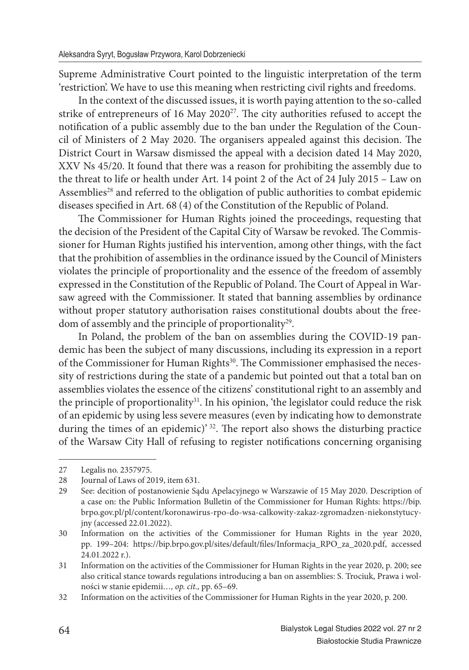Supreme Administrative Court pointed to the linguistic interpretation of the term 'restriction'. We have to use this meaning when restricting civil rights and freedoms.

In the context of the discussed issues, it is worth paying attention to the so-called strike of entrepreneurs of 16 May 2020 $27$ . The city authorities refused to accept the notification of a public assembly due to the ban under the Regulation of the Council of Ministers of 2 May 2020. The organisers appealed against this decision. The District Court in Warsaw dismissed the appeal with a decision dated 14 May 2020, XXV Ns 45/20. It found that there was a reason for prohibiting the assembly due to the threat to life or health under Art. 14 point 2 of the Act of 24 July 2015 – Law on Assemblies<sup>28</sup> and referred to the obligation of public authorities to combat epidemic diseases specified in Art. 68 (4) of the Constitution of the Republic of Poland.

The Commissioner for Human Rights joined the proceedings, requesting that the decision of the President of the Capital City of Warsaw be revoked. The Commissioner for Human Rights justified his intervention, among other things, with the fact that the prohibition of assemblies in the ordinance issued by the Council of Ministers violates the principle of proportionality and the essence of the freedom of assembly expressed in the Constitution of the Republic of Poland. The Court of Appeal in Warsaw agreed with the Commissioner. It stated that banning assemblies by ordinance without proper statutory authorisation raises constitutional doubts about the freedom of assembly and the principle of proportionality<sup>29</sup>.

In Poland, the problem of the ban on assemblies during the COVID-19 pandemic has been the subject of many discussions, including its expression in a report of the Commissioner for Human Rights<sup>30</sup>. The Commissioner emphasised the necessity of restrictions during the state of a pandemic but pointed out that a total ban on assemblies violates the essence of the citizens' constitutional right to an assembly and the principle of proportionality<sup>31</sup>. In his opinion, 'the legislator could reduce the risk of an epidemic by using less severe measures (even by indicating how to demonstrate during the times of an epidemic)'<sup>32</sup>. The report also shows the disturbing practice of the Warsaw City Hall of refusing to register notifications concerning organising

<sup>27</sup> Legalis no. 2357975.

<sup>28</sup> Journal of Laws of 2019, item 631.<br>29 See: decition of postanowienie Sa

<sup>29</sup> See: decition of postanowienie Sądu Apelacyjnego w Warszawie of 15 May 2020. Description of a case on: the Public Information Bulletin of the Commissioner for Human Rights: https://bip. brpo.gov.pl/pl/content/koronawirus-rpo-do-wsa-calkowity-zakaz-zgromadzen-niekonstytucyjny (accessed 22.01.2022).

<sup>30</sup> Information on the activities of the Commissioner for Human Rights in the year 2020, pp. 199-204: https://bip.brpo.gov.pl/sites/default/files/Informacja\_RPO\_za\_2020.pdf, accessed 24.01.2022 r.).

<sup>31</sup> Information on the activities of the Commissioner for Human Rights in the year 2020, p. 200; see also critical stance towards regulations introducing a ban on assemblies: S. Trociuk, Prawa i wolności w stanie epidemii*…, op. cit.,* pp. 65–69.

<sup>32</sup> Information on the activities of the Commissioner for Human Rights in the year 2020, p. 200.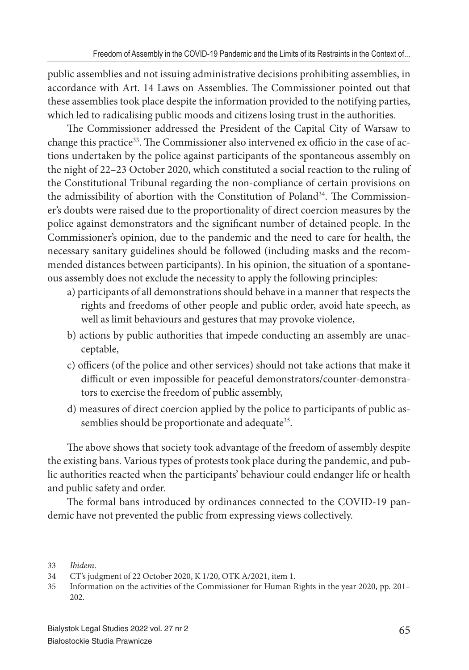public assemblies and not issuing administrative decisions prohibiting assemblies, in accordance with Art. 14 Laws on Assemblies. The Commissioner pointed out that these assemblies took place despite the information provided to the notifying parties, which led to radicalising public moods and citizens losing trust in the authorities.

The Commissioner addressed the President of the Capital City of Warsaw to change this practice<sup>33</sup>. The Commissioner also intervened ex officio in the case of actions undertaken by the police against participants of the spontaneous assembly on the night of 22–23 October 2020, which constituted a social reaction to the ruling of the Constitutional Tribunal regarding the non-compliance of certain provisions on the admissibility of abortion with the Constitution of Poland<sup>34</sup>. The Commissioner's doubts were raised due to the proportionality of direct coercion measures by the police against demonstrators and the significant number of detained people. In the Commissioner's opinion, due to the pandemic and the need to care for health, the necessary sanitary guidelines should be followed (including masks and the recommended distances between participants). In his opinion, the situation of a spontaneous assembly does not exclude the necessity to apply the following principles:

- a) participants of all demonstrations should behave in a manner that respects the rights and freedoms of other people and public order, avoid hate speech, as well as limit behaviours and gestures that may provoke violence,
- b) actions by public authorities that impede conducting an assembly are unacceptable,
- c) officers (of the police and other services) should not take actions that make it difficult or even impossible for peaceful demonstrators/counter-demonstrators to exercise the freedom of public assembly,
- d) measures of direct coercion applied by the police to participants of public assemblies should be proportionate and adequate<sup>35</sup>.

The above shows that society took advantage of the freedom of assembly despite the existing bans. Various types of protests took place during the pandemic, and public authorities reacted when the participants' behaviour could endanger life or health and public safety and order.

The formal bans introduced by ordinances connected to the COVID-19 pandemic have not prevented the public from expressing views collectively.

<sup>33</sup> *Ibidem*.

<sup>34</sup> CT's judgment of 22 October 2020, K 1/20, OTK A/2021, item 1.

<sup>35</sup> Information on the activities of the Commissioner for Human Rights in the year 2020, pp. 201– 202.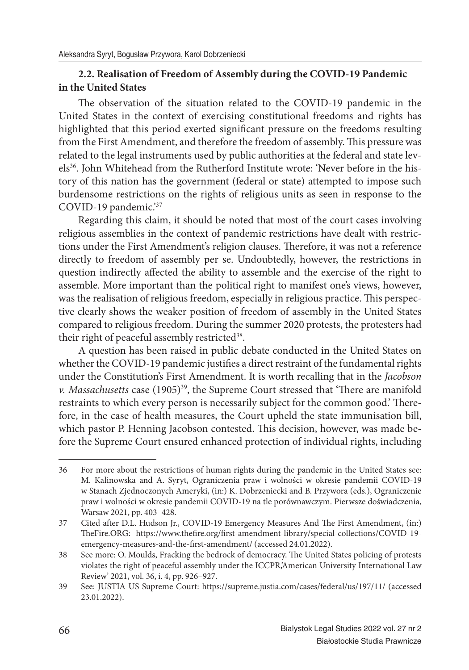### **2.2. Realisation of Freedom of Assembly during the COVID-19 Pandemic in the United States**

The observation of the situation related to the COVID-19 pandemic in the United States in the context of exercising constitutional freedoms and rights has highlighted that this period exerted significant pressure on the freedoms resulting from the First Amendment, and therefore the freedom of assembly. This pressure was related to the legal instruments used by public authorities at the federal and state levels<sup>36</sup>. John Whitehead from the Rutherford Institute wrote: 'Never before in the history of this nation has the government (federal or state) attempted to impose such burdensome restrictions on the rights of religious units as seen in response to the COVID-19 pandemic.'<sup>37</sup>

Regarding this claim, it should be noted that most of the court cases involving religious assemblies in the context of pandemic restrictions have dealt with restrictions under the First Amendment's religion clauses. Therefore, it was not a reference directly to freedom of assembly per se. Undoubtedly, however, the restrictions in question indirectly affected the ability to assemble and the exercise of the right to assemble. More important than the political right to manifest one's views, however, was the realisation of religious freedom, especially in religious practice. This perspective clearly shows the weaker position of freedom of assembly in the United States compared to religious freedom. During the summer 2020 protests, the protesters had their right of peaceful assembly restricted<sup>38</sup>.

A question has been raised in public debate conducted in the United States on whether the COVID-19 pandemic justifies a direct restraint of the fundamental rights under the Constitution's First Amendment. It is worth recalling that in the *Jacobson v. Massachusetts* case  $(1905)^{39}$ , the Supreme Court stressed that 'There are manifold restraints to which every person is necessarily subject for the common good.' Therefore, in the case of health measures, the Court upheld the state immunisation bill, which pastor P. Henning Jacobson contested. This decision, however, was made before the Supreme Court ensured enhanced protection of individual rights, including

<sup>36</sup> For more about the restrictions of human rights during the pandemic in the United States see: M. Kalinowska and A. Syryt, Ograniczenia praw i wolności w okresie pandemii COVID-19 w Stanach Zjednoczonych Ameryki, (in:) K. Dobrzeniecki and B. Przywora (eds.), Ograniczenie praw i wolności w okresie pandemii COVID-19 na tle porównawczym. Pierwsze doświadczenia, Warsaw 2021, pp. 403–428.

<sup>37</sup> Cited after D.L. Hudson Jr., COVID-19 Emergency Measures And The First Amendment, (in:) TheFire.ORG: https://www.thefire.org/first-amendment-library/special-collections/COVID-19emergency-measures-and-the-first-amendment/ (accessed 24.01.2022).

<sup>38</sup> See more: O. Moulds, Fracking the bedrock of democracy. The United States policing of protests violates the right of peaceful assembly under the ICCPR,'American University International Law Review' 2021, vol. 36, i. 4, pp. 926–927.

<sup>39</sup> See: JUSTIA US Supreme Court: https://supreme.justia.com/cases/federal/us/197/11/ (accessed 23.01.2022).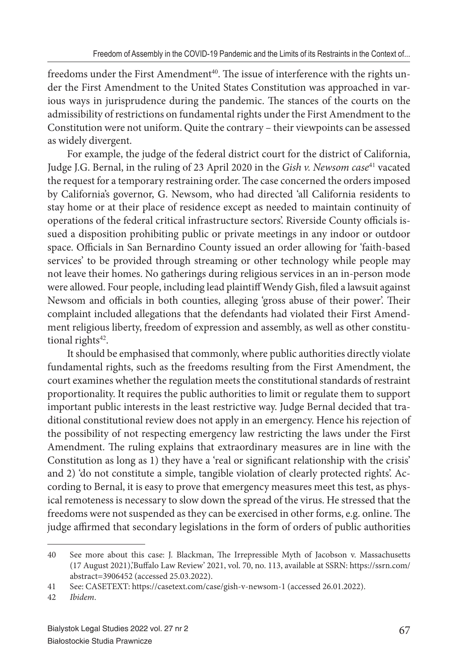freedoms under the First Amendment<sup>40</sup>. The issue of interference with the rights under the First Amendment to the United States Constitution was approached in various ways in jurisprudence during the pandemic. The stances of the courts on the admissibility of restrictions on fundamental rights under the First Amendment to the Constitution were not uniform. Quite the contrary – their viewpoints can be assessed as widely divergent.

For example, the judge of the federal district court for the district of California, Judge J.G. Bernal, in the ruling of 23 April 2020 in the *Gish v. Newsom case*<sup>41</sup> vacated the request for a temporary restraining order. The case concerned the orders imposed by California's governor, G. Newsom, who had directed 'all California residents to stay home or at their place of residence except as needed to maintain continuity of operations of the federal critical infrastructure sectors'. Riverside County officials issued a disposition prohibiting public or private meetings in any indoor or outdoor space. Officials in San Bernardino County issued an order allowing for 'faith-based services' to be provided through streaming or other technology while people may not leave their homes. No gatherings during religious services in an in-person mode were allowed. Four people, including lead plaintiff Wendy Gish, filed a lawsuit against Newsom and officials in both counties, alleging 'gross abuse of their power'. Their complaint included allegations that the defendants had violated their First Amendment religious liberty, freedom of expression and assembly, as well as other constitutional rights<sup>42</sup>.

It should be emphasised that commonly, where public authorities directly violate fundamental rights, such as the freedoms resulting from the First Amendment, the court examines whether the regulation meets the constitutional standards of restraint proportionality. It requires the public authorities to limit or regulate them to support important public interests in the least restrictive way. Judge Bernal decided that traditional constitutional review does not apply in an emergency. Hence his rejection of the possibility of not respecting emergency law restricting the laws under the First Amendment. The ruling explains that extraordinary measures are in line with the Constitution as long as 1) they have a 'real or significant relationship with the crisis' and 2) 'do not constitute a simple, tangible violation of clearly protected rights'. According to Bernal, it is easy to prove that emergency measures meet this test, as physical remoteness is necessary to slow down the spread of the virus. He stressed that the freedoms were not suspended as they can be exercised in other forms, e.g. online. The judge affirmed that secondary legislations in the form of orders of public authorities

<sup>40</sup> See more about this case: J. Blackman, The Irrepressible Myth of Jacobson v. Massachusetts (17 August 2021),'Buffalo Law Review' 2021, vol. 70, no. 113, available at SSRN: https://ssrn.com/ abstract=3906452 (accessed 25.03.2022).

<sup>41</sup> See: CASETEXT: https://casetext.com/case/gish-v-newsom-1 (accessed 26.01.2022).

<sup>42</sup> *Ibidem*.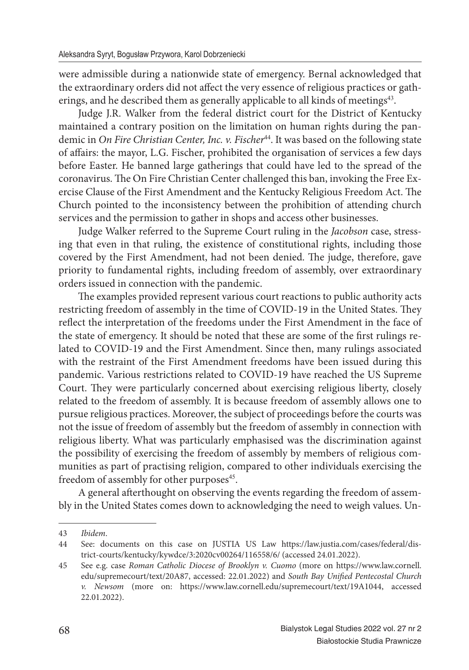were admissible during a nationwide state of emergency. Bernal acknowledged that the extraordinary orders did not affect the very essence of religious practices or gatherings, and he described them as generally applicable to all kinds of meetings<sup>43</sup>.

Judge J.R. Walker from the federal district court for the District of Kentucky maintained a contrary position on the limitation on human rights during the pandemic in *On Fire Christian Center, Inc. v. Fischer*<sup>44</sup>. It was based on the following state of affairs: the mayor, L.G. Fischer, prohibited the organisation of services a few days before Easter. He banned large gatherings that could have led to the spread of the coronavirus. The On Fire Christian Center challenged this ban, invoking the Free Exercise Clause of the First Amendment and the Kentucky Religious Freedom Act. The Church pointed to the inconsistency between the prohibition of attending church services and the permission to gather in shops and access other businesses.

Judge Walker referred to the Supreme Court ruling in the *Jacobson* case, stressing that even in that ruling, the existence of constitutional rights, including those covered by the First Amendment, had not been denied. The judge, therefore, gave priority to fundamental rights, including freedom of assembly, over extraordinary orders issued in connection with the pandemic.

The examples provided represent various court reactions to public authority acts restricting freedom of assembly in the time of COVID-19 in the United States. They reflect the interpretation of the freedoms under the First Amendment in the face of the state of emergency. It should be noted that these are some of the first rulings related to COVID-19 and the First Amendment. Since then, many rulings associated with the restraint of the First Amendment freedoms have been issued during this pandemic. Various restrictions related to COVID-19 have reached the US Supreme Court. They were particularly concerned about exercising religious liberty, closely related to the freedom of assembly. It is because freedom of assembly allows one to pursue religious practices. Moreover, the subject of proceedings before the courts was not the issue of freedom of assembly but the freedom of assembly in connection with religious liberty. What was particularly emphasised was the discrimination against the possibility of exercising the freedom of assembly by members of religious communities as part of practising religion, compared to other individuals exercising the freedom of assembly for other purposes<sup>45</sup>.

A general afterthought on observing the events regarding the freedom of assembly in the United States comes down to acknowledging the need to weigh values. Un-

<sup>43</sup> *Ibidem*.

<sup>44</sup> See: documents on this case on JUSTIA US Law https://law.justia.com/cases/federal/district-courts/kentucky/kywdce/3:2020cv00264/116558/6/ (accessed 24.01.2022).

<sup>45</sup> See e.g. case *Roman Catholic Diocese of Brooklyn v. Cuomo* (more on https://www.law.cornell. edu/supremecourt/text/20A87, accessed: 22.01.2022) and *South Bay Unified Pentecostal Church v. Newsom* (more on: https://www.law.cornell.edu/supremecourt/text/19A1044, accessed 22.01.2022).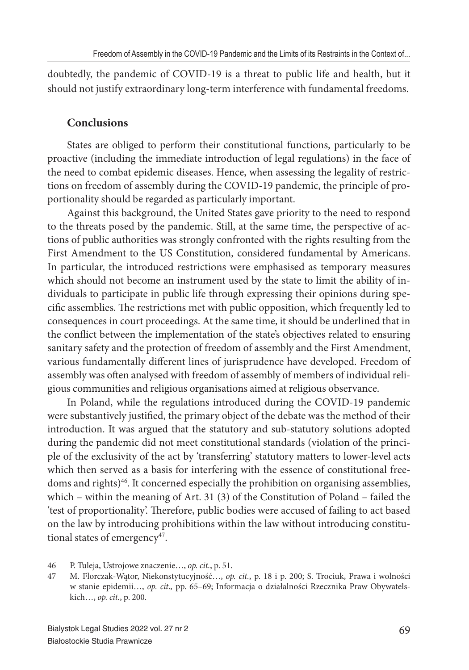doubtedly, the pandemic of COVID-19 is a threat to public life and health, but it should not justify extraordinary long-term interference with fundamental freedoms.

### **Conclusions**

States are obliged to perform their constitutional functions, particularly to be proactive (including the immediate introduction of legal regulations) in the face of the need to combat epidemic diseases. Hence, when assessing the legality of restrictions on freedom of assembly during the COVID-19 pandemic, the principle of proportionality should be regarded as particularly important.

Against this background, the United States gave priority to the need to respond to the threats posed by the pandemic. Still, at the same time, the perspective of actions of public authorities was strongly confronted with the rights resulting from the First Amendment to the US Constitution, considered fundamental by Americans. In particular, the introduced restrictions were emphasised as temporary measures which should not become an instrument used by the state to limit the ability of individuals to participate in public life through expressing their opinions during specific assemblies. The restrictions met with public opposition, which frequently led to consequences in court proceedings. At the same time, it should be underlined that in the conflict between the implementation of the state's objectives related to ensuring sanitary safety and the protection of freedom of assembly and the First Amendment, various fundamentally different lines of jurisprudence have developed. Freedom of assembly was often analysed with freedom of assembly of members of individual religious communities and religious organisations aimed at religious observance.

In Poland, while the regulations introduced during the COVID-19 pandemic were substantively justified, the primary object of the debate was the method of their introduction. It was argued that the statutory and sub-statutory solutions adopted during the pandemic did not meet constitutional standards (violation of the principle of the exclusivity of the act by 'transferring' statutory matters to lower-level acts which then served as a basis for interfering with the essence of constitutional freedoms and rights)<sup>46</sup>. It concerned especially the prohibition on organising assemblies, which – within the meaning of Art. 31 (3) of the Constitution of Poland – failed the 'test of proportionality'. Therefore, public bodies were accused of failing to act based on the law by introducing prohibitions within the law without introducing constitutional states of emergency<sup>47</sup>.

<sup>46</sup> P. Tuleja, Ustrojowe znaczenie…, *op. cit.*, p. 51.

<sup>47</sup> M. Florczak-Wątor, Niekonstytucyjność…, *op. cit.*, p. 18 i p. 200; S. Trociuk, Prawa i wolności w stanie epidemii…, *op. cit.,* pp. 65–69; Informacja o działalności Rzecznika Praw Obywatelskich…, *op. cit.*, p. 200.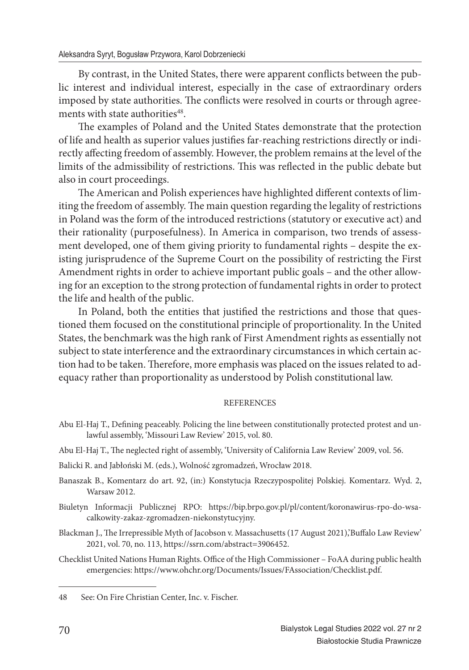By contrast, in the United States, there were apparent conflicts between the public interest and individual interest, especially in the case of extraordinary orders imposed by state authorities. The conflicts were resolved in courts or through agreements with state authorities<sup>48</sup>.

The examples of Poland and the United States demonstrate that the protection of life and health as superior values justifies far-reaching restrictions directly or indirectly affecting freedom of assembly. However, the problem remains at the level of the limits of the admissibility of restrictions. This was reflected in the public debate but also in court proceedings.

The American and Polish experiences have highlighted different contexts of limiting the freedom of assembly. The main question regarding the legality of restrictions in Poland was the form of the introduced restrictions (statutory or executive act) and their rationality (purposefulness). In America in comparison, two trends of assessment developed, one of them giving priority to fundamental rights – despite the existing jurisprudence of the Supreme Court on the possibility of restricting the First Amendment rights in order to achieve important public goals – and the other allowing for an exception to the strong protection of fundamental rights in order to protect the life and health of the public.

In Poland, both the entities that justified the restrictions and those that questioned them focused on the constitutional principle of proportionality. In the United States, the benchmark was the high rank of First Amendment rights as essentially not subject to state interference and the extraordinary circumstances in which certain action had to be taken. Therefore, more emphasis was placed on the issues related to adequacy rather than proportionality as understood by Polish constitutional law.

#### REFERENCES

- Abu El-Haj T., Defining peaceably. Policing the line between constitutionally protected protest and unlawful assembly, 'Missouri Law Review' 2015, vol. 80.
- Abu El-Haj T., The neglected right of assembly, 'University of California Law Review' 2009, vol. 56.
- Balicki R. and Jabłoński M. (eds.), Wolność zgromadzeń, Wrocław 2018.
- Banaszak B., Komentarz do art. 92, (in:) Konstytucja Rzeczypospolitej Polskiej. Komentarz. Wyd. 2, Warsaw 2012.
- Biuletyn Informacji Publicznej RPO: https://bip.brpo.gov.pl/pl/content/koronawirus-rpo-do-wsacalkowity-zakaz-zgromadzen-niekonstytucyjny.
- Blackman J., The Irrepressible Myth of Jacobson v. Massachusetts (17 August 2021),'Buffalo Law Review' 2021, vol. 70, no. 113, https://ssrn.com/abstract=3906452.
- Checklist United Nations Human Rights. Office of the High Commissioner FoAA during public health emergencies: https://www.ohchr.org/Documents/Issues/FAssociation/Checklist.pdf.

<sup>48</sup> See: On Fire Christian Center, Inc. v. Fischer.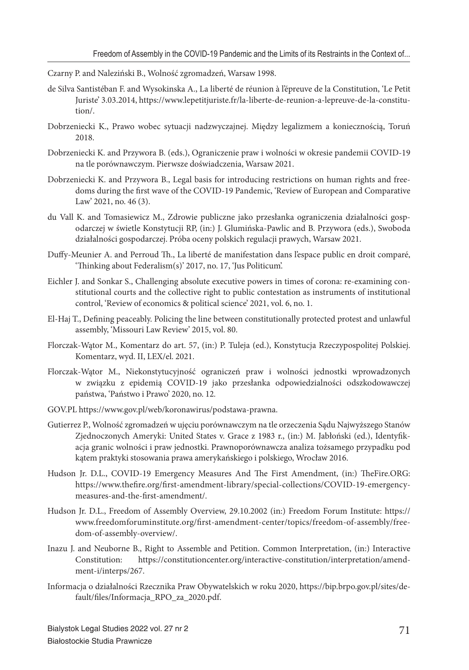Czarny P. and Naleziński B., Wolność zgromadzeń, Warsaw 1998.

- de Silva Santistéban F. and Wysokinska A., La liberté de réunion à l'épreuve de la Constitution, 'Le Petit Juriste' 3.03.2014, https://www.lepetitjuriste.fr/la-liberte-de-reunion-a-lepreuve-de-la-constitution/.
- Dobrzeniecki K., Prawo wobec sytuacji nadzwyczajnej. Między legalizmem a koniecznością, Toruń 2018.
- Dobrzeniecki K. and Przywora B. (eds.), Ograniczenie praw i wolności w okresie pandemii COVID-19 na tle porównawczym. Pierwsze doświadczenia, Warsaw 2021.
- Dobrzeniecki K. and Przywora B., Legal basis for introducing restrictions on human rights and freedoms during the first wave of the COVID-19 Pandemic, 'Review of European and Comparative Law' 2021, no. 46 (3).
- du Vall K. and Tomasiewicz M., Zdrowie publiczne jako przesłanka ograniczenia działalności gospodarczej w świetle Konstytucji RP, (in:) J. Glumińska-Pawlic and B. Przywora (eds.), Swoboda działalności gospodarczej. Próba oceny polskich regulacji prawych, Warsaw 2021.
- Duffy-Meunier A. and Perroud Th., La liberté de manifestation dans l'espace public en droit comparé, 'Thinking about Federalism(s)' 2017, no. 17, 'Jus Politicum'.
- Eichler J. and Sonkar S., Challenging absolute executive powers in times of corona: re-examining constitutional courts and the collective right to public contestation as instruments of institutional control, 'Review of economics & political science' 2021, vol. 6, no. 1.
- El-Haj T., Defining peaceably. Policing the line between constitutionally protected protest and unlawful assembly, 'Missouri Law Review' 2015, vol. 80.
- Florczak-Wątor M., Komentarz do art. 57, (in:) P. Tuleja (ed.), Konstytucja Rzeczypospolitej Polskiej. Komentarz, wyd. II, LEX/el. 2021.
- Florczak-Wątor M., Niekonstytucyjność ograniczeń praw i wolności jednostki wprowadzonych w związku z epidemią COVID-19 jako przesłanka odpowiedzialności odszkodowawczej państwa, 'Państwo i Prawo' 2020, no. 12*.*
- GOV.PL https://www.gov.pl/web/koronawirus/podstawa-prawna.
- Gutierrez P., Wolność zgromadzeń w ujęciu porównawczym na tle orzeczenia Sądu Najwyższego Stanów Zjednoczonych Ameryki: United States v. Grace z 1983 r., (in:) M. Jabłoński (ed.), Identyfikacja granic wolności i praw jednostki. Prawnoporównawcza analiza tożsamego przypadku pod kątem praktyki stosowania prawa amerykańskiego i polskiego, Wrocław 2016.
- Hudson Jr. D.L., COVID-19 Emergency Measures And The First Amendment, (in:) TheFire.ORG: https://www.thefire.org/first-amendment-library/special-collections/COVID-19-emergencymeasures-and-the-first-amendment/.
- Hudson Jr. D.L., Freedom of Assembly Overview, 29.10.2002 (in:) Freedom Forum Institute: https:// www.freedomforuminstitute.org/first-amendment-center/topics/freedom-of-assembly/freedom-of-assembly-overview/.
- Inazu J. and Neuborne B., Right to Assemble and Petition. Common Interpretation, (in:) Interactive Constitution: https://constitutioncenter.org/interactive-constitution/interpretation/amendment-i/interps/267.
- Informacja o działalności Rzecznika Praw Obywatelskich w roku 2020, https://bip.brpo.gov.pl/sites/default/files/Informacja\_RPO\_za\_2020.pdf.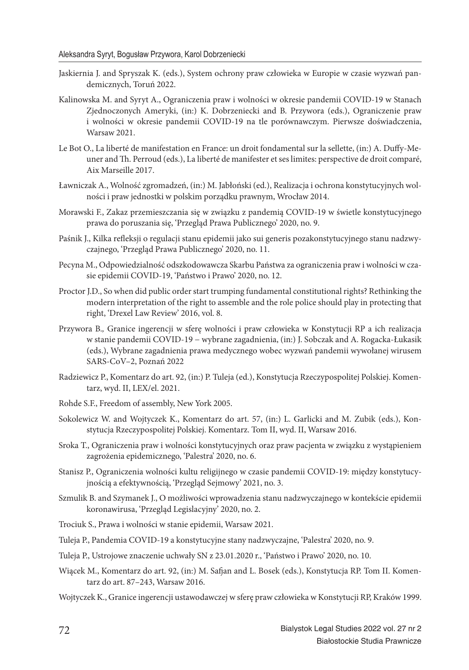- Jaskiernia J. and Spryszak K. (eds.), System ochrony praw człowieka w Europie w czasie wyzwań pandemicznych, Toruń 2022.
- Kalinowska M. and Syryt A., Ograniczenia praw i wolności w okresie pandemii COVID-19 w Stanach Zjednoczonych Ameryki, (in:) K. Dobrzeniecki and B. Przywora (eds.), Ograniczenie praw i wolności w okresie pandemii COVID-19 na tle porównawczym. Pierwsze doświadczenia, Warsaw 2021.
- Le Bot O., La liberté de manifestation en France: un droit fondamental sur la sellette, (in:) A. Duffy-Meuner and Th . Perroud (eds.), La liberté de manifester et ses limites: perspective de droit comparé, Aix Marseille 2017.
- Ławniczak A., Wolność zgromadzeń, (in:) M. Jabłoński (ed.), Realizacja i ochrona konstytucyjnych wolności i praw jednostki w polskim porządku prawnym, Wrocław 2014.
- Morawski F., Zakaz przemieszczania się w związku z pandemią COVID-19 w świetle konstytucyjnego prawa do poruszania się, 'Przegląd Prawa Publicznego' 2020, no. 9.
- Paśnik J., Kilka refleksji o regulacji stanu epidemii jako sui generis pozakonstytucyjnego stanu nadzwyczajnego, 'Przegląd Prawa Publicznego' 2020, no. 11.
- Pecyna M., Odpowiedzialność odszkodowawcza Skarbu Państwa za ograniczenia praw i wolności w czasie epidemii COVID-19, 'Państwo i Prawo' 2020, no. 12.
- Proctor J.D., So when did public order start trumping fundamental constitutional rights? Rethinking the modern interpretation of the right to assemble and the role police should play in protecting that right, 'Drexel Law Review' 2016, vol. 8.
- Przywora B.*,* Granice ingerencji w sferę wolności i praw człowieka w Konstytucji RP a ich realizacja w stanie pandemii COVID-19 − wybrane zagadnienia, (in:) J. Sobczak and A. Rogacka-Łukasik (eds.), Wybrane zagadnienia prawa medycznego wobec wyzwań pandemii wywołanej wirusem SARS-CoV–2, Poznań 2022
- Radziewicz P., Komentarz do art. 92, (in:) P. Tuleja (ed.), Konstytucja Rzeczypospolitej Polskiej. Komentarz, wyd. II, LEX/el. 2021.
- Rohde S.F., Freedom of assembly, New York 2005.
- Sokolewicz W. and Wojtyczek K., Komentarz do art. 57, (in:) L. Garlicki and M. Zubik (eds.), Konstytucja Rzeczypospolitej Polskiej. Komentarz. Tom II, wyd. II, Warsaw 2016.
- Sroka T., Ograniczenia praw i wolności konstytucyjnych oraz praw pacjenta w związku z wystąpieniem zagrożenia epidemicznego, 'Palestra' 2020, no. 6.
- Stanisz P., Ograniczenia wolności kultu religijnego w czasie pandemii COVID-19: między konstytucyjnością a efektywnością, 'Przegląd Sejmowy' 2021, no. 3.
- Szmulik B. and Szymanek J., O możliwości wprowadzenia stanu nadzwyczajnego w kontekście epidemii koronawirusa, 'Przegląd Legislacyjny' 2020, no. 2.
- Trociuk S., Prawa i wolności w stanie epidemii, Warsaw 2021.
- Tuleja P., Pandemia COVID-19 a konstytucyjne stany nadzwyczajne, 'Palestra' 2020, no. 9.
- Tuleja P., Ustrojowe znaczenie uchwały SN z 23.01.2020 r., 'Państwo i Prawo' 2020, no. 10.
- Wiącek M., Komentarz do art. 92, (in:) M. Safjan and L. Bosek (eds.), Konstytucja RP. Tom II. Komentarz do art. 87–243, Warsaw 2016.
- Wojtyczek K., Granice ingerencji ustawodawczej w sferę praw człowieka w Konstytucji RP, Kraków 1999.